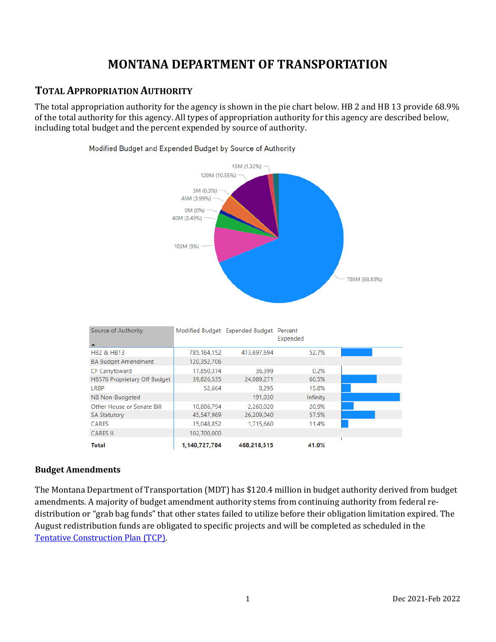# **MONTANA DEPARTMENT OF TRANSPORTATION**

## **TOTAL APPROPRIATION AUTHORITY**

The total appropriation authority for the agency is shown in the pie chart below. HB 2 and HB 13 provide 68.9% of the total authority for this agency. All types of appropriation authority for this agency are described below, including total budget and the percent expended by source of authority.

Modified Budget and Expended Budget by Source of Authority

# $15M(1.32%)$  – 120M (10.55%) -3M (0.3%) -

|             | 46M (3.99%)<br>OM (0%)<br>40M (3.49%)<br>103M (9%) |                                         |          |       | 785M (68.83%) |  |
|-------------|----------------------------------------------------|-----------------------------------------|----------|-------|---------------|--|
| Authority   |                                                    | Modified Budget Expended Budget Percent | Expended |       |               |  |
| 313         | 785,164,152                                        | 413,697,694                             |          | 52.7% |               |  |
| t Amendment | 120,352,706                                        |                                         |          |       |               |  |
| . 1         | 47050274                                           | 25.200                                  |          | 0.201 |               |  |

| <b>HB2 &amp; HB13</b>        | 785,164,152   | 413,697,694 | 52.7%    |  |
|------------------------------|---------------|-------------|----------|--|
| <b>BA Budget Amendment</b>   | 120,352,706   |             |          |  |
| <b>CF Carryfoward</b>        | 17,850,374    | 36.399      | 0.2%     |  |
| HB576 Proprietary Off Budget | 39,826,535    | 24,089,271  | 60.5%    |  |
| LRBP                         | 52,664        | 8.295       | 15.8%    |  |
| NB Non-Budgeted              |               | 191,030     | Infinity |  |
| Other House or Senate Bill   | 10,806,794    | 2,260,020   | 20.9%    |  |
| <b>SA Statutory</b>          | 45,547,969    | 26,209,040  | 57.5%    |  |
| <b>CARES</b>                 | 15,048,852    | 1,715,660   | 11.4%    |  |
| <b>CARES II</b>              | 102,700,000   |             |          |  |
| <b>Total</b>                 | 1,140,727,784 | 468,218,515 | 41.0%    |  |

#### **Budget Amendments**

Source of

The Montana Department of Transportation (MDT) has \$120.4 million in budget authority derived from budget amendments. A majority of budget amendment authority stems from continuing authority from federal redistribution or "grab bag funds" that other states failed to utilize before their obligation limitation expired. The August redistribution funds are obligated to specific projects and will be completed as scheduled in the [Tentative Construction Plan \(TCP\).](https://www.mdt.mt.gov/pubinvolve/project-mgmt.shtml)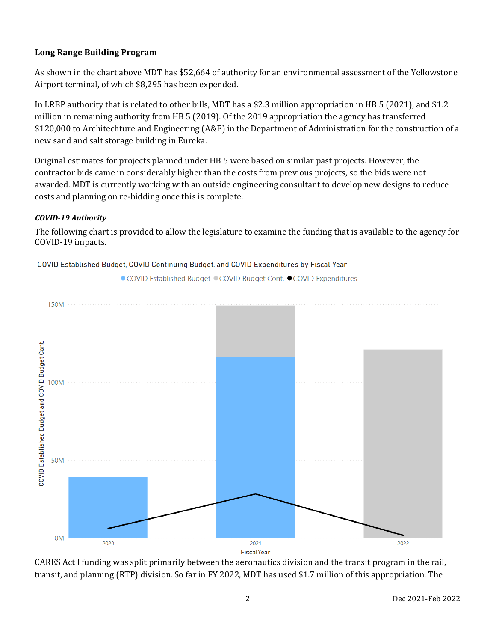#### **Long Range Building Program**

As shown in the chart above MDT has \$52,664 of authority for an environmental assessment of the Yellowstone Airport terminal, of which \$8,295 has been expended.

In LRBP authority that is related to other bills, MDT has a \$2.3 million appropriation in HB 5 (2021), and \$1.2 million in remaining authority from HB 5 (2019). Of the 2019 appropriation the agency has transferred \$120,000 to Architechture and Engineering (A&E) in the Department of Administration for the construction of a new sand and salt storage building in Eureka.

Original estimates for projects planned under HB 5 were based on similar past projects. However, the contractor bids came in considerably higher than the costs from previous projects, so the bids were not awarded. MDT is currently working with an outside engineering consultant to develop new designs to reduce costs and planning on re-bidding once this is complete.

#### *COVID-19 Authority*

The following chart is provided to allow the legislature to examine the funding that is available to the agency for COVID-19 impacts.

● COVID Established Budget © COVID Budget Cont. ● COVID Expenditures



COVID Established Budget, COVID Continuing Budget. and COVID Expenditures by Fiscal Year

CARES Act I funding was split primarily between the aeronautics division and the transit program in the rail, transit, and planning (RTP) division. So far in FY 2022, MDT has used \$1.7 million of this appropriation. The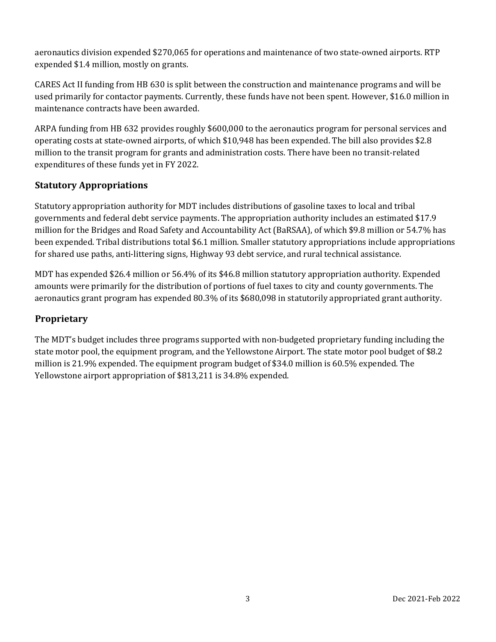aeronautics division expended \$270,065 for operations and maintenance of two state-owned airports. RTP expended \$1.4 million, mostly on grants.

CARES Act II funding from HB 630 is split between the construction and maintenance programs and will be used primarily for contactor payments. Currently, these funds have not been spent. However, \$16.0 million in maintenance contracts have been awarded.

ARPA funding from HB 632 provides roughly \$600,000 to the aeronautics program for personal services and operating costs at state-owned airports, of which \$10,948 has been expended. The bill also provides \$2.8 million to the transit program for grants and administration costs. There have been no transit-related expenditures of these funds yet in FY 2022.

#### **Statutory Appropriations**

Statutory appropriation authority for MDT includes distributions of gasoline taxes to local and tribal governments and federal debt service payments. The appropriation authority includes an estimated \$17.9 million for the Bridges and Road Safety and Accountability Act (BaRSAA), of which \$9.8 million or 54.7% has been expended. Tribal distributions total \$6.1 million. Smaller statutory appropriations include appropriations for shared use paths, anti-littering signs, Highway 93 debt service, and rural technical assistance.

MDT has expended \$26.4 million or 56.4% of its \$46.8 million statutory appropriation authority. Expended amounts were primarily for the distribution of portions of fuel taxes to city and county governments. The aeronautics grant program has expended 80.3% of its \$680,098 in statutorily appropriated grant authority.

#### **Proprietary**

The MDT's budget includes three programs supported with non-budgeted proprietary funding including the state motor pool, the equipment program, and the Yellowstone Airport. The state motor pool budget of \$8.2 million is 21.9% expended. The equipment program budget of \$34.0 million is 60.5% expended. The Yellowstone airport appropriation of \$813,211 is 34.8% expended.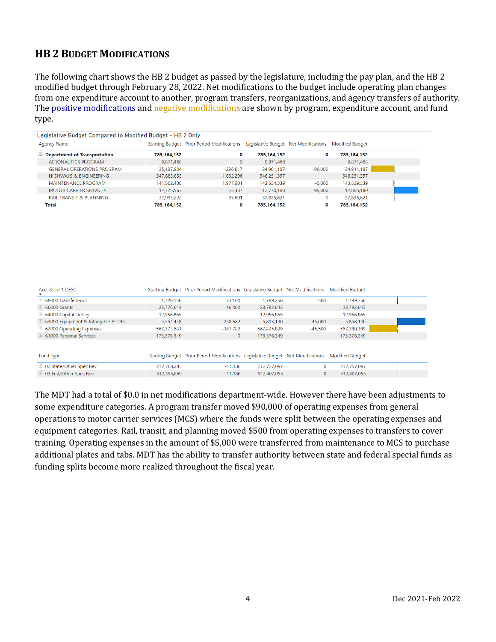# **HB 2 BUDGET MODIFICATIONS**

The following chart shows the HB 2 budget as passed by the legislature, including the pay plan, and the HB 2 modified budget through February 28, 2022. Net modifications to the budget include operating plan changes from one expenditure account to another, program transfers, reorganizations, and agency transfers of authority. The positive modifications and negative modifications are shown by program, expenditure account, and fund type.

| Legislative Budget Compared to Modified Budget - HB 2 Only |               |                                            |               |                                                      |             |
|------------------------------------------------------------|---------------|--------------------------------------------|---------------|------------------------------------------------------|-------------|
| Agency Name                                                |               | Starting Budget Prior Period Modifications |               | Legislative Budget Net Modifications Modified Budget |             |
| $\boxdot$ Department of Transportation                     | 785, 164, 152 | 0                                          | 785, 164, 152 | 0                                                    | 785,164,152 |
| AERONAUTICS PROGRAM                                        | 9,871,468     | $\mathbf{0}$                               | 9,871,468     |                                                      | 9,871,468   |
| <b>GENERAL OPERATIONS PROGRAM</b>                          | 35,137,804    | $-236,617$                                 | 34,901,187    | $-90,000$                                            | 34,811,187  |
| <b>HIGHWAYS &amp; ENGINEERING</b>                          | 547,883,653   | $-1.632.296$                               | 546,251,357   |                                                      | 546,251,357 |
| MAINTENANCE PROGRAM                                        | 141.562.438   | 1.971.901                                  | 143.534.339   | $-5.000$                                             | 143.529.339 |
| <b>MOTOR CARRIER SERVICES</b>                              | 12,775,567    | $-5.387$                                   | 12,770,180    | 95,000                                               | 12.865.180  |
| <b>RAIL TRANSIT &amp; PLANNING</b>                         | 37.933.222    | $-97.601$                                  | 37,835,621    | $\mathbf{0}$                                         | 37.835.621  |
| <b>Total</b>                                               | 785.164.152   | 0                                          | 785.164.152   | 0                                                    | 785.164.152 |

| Acct & Lyl 1 DESC                              |             | Starting Budget Prior Period Modifications Legislative Budget Net Modifications Modified Budget |             |              |                 |  |
|------------------------------------------------|-------------|-------------------------------------------------------------------------------------------------|-------------|--------------|-----------------|--|
| □ 68000 Transfers-out                          | 1,726,156   | 73.100                                                                                          | 1.799.256   | 500          | 1.799.756       |  |
| $\boxplus$ 66000 Grants                        | 23,776,643  | 16,000                                                                                          | 23,792,643  |              | 23,792,643      |  |
| ■ 64000 Capital Outlay                         | 12,956,865  |                                                                                                 | 12.956.865  |              | 12.956.865      |  |
| $\boxplus$ 63000 Equipment & Intangible Assets | 5.554.458   | 258,682                                                                                         | 5.813.140   | 45,000       | 5.858.140       |  |
| $\boxplus$ 62000 Operating Expenses            | 567.773.681 | $-347.782$                                                                                      | 567,425,899 | $-45.500$    | 567,380,399     |  |
| $\boxplus$ 61000 Personal Services             | 173,376,349 | $\mathbf{0}$                                                                                    | 173,376,349 |              | 173,376,349     |  |
| Fund Type                                      |             | Starting Budget Prior Period Modifications Legislative Budget Net Modifications                 |             |              | Modified Budget |  |
| □ 02 State/Other Spec Rev                      | 272,768,283 | $-11.186$                                                                                       | 272,757,097 | 0            | 272.757.097     |  |
| $\boxplus$ 03 Fed/Other Spec Rev               | 512,395,869 | 11.186                                                                                          | 512,407,055 | $\mathbf{0}$ | 512,407,055     |  |

The MDT had a total of \$0.0 in net modifications department-wide. However there have been adjustments to some expenditure categories. A program transfer moved \$90,000 of operating expenses from general operations to motor carrier services (MCS) where the funds were split between the operating expenses and equipment categories. Rail, transit, and planning moved \$500 from operating expenses to transfers to cover training. Operating expenses in the amount of \$5,000 were transferred from maintenance to MCS to purchase additional plates and tabs. MDT has the ability to transfer authority between state and federal special funds as funding splits become more realized throughout the fiscal year.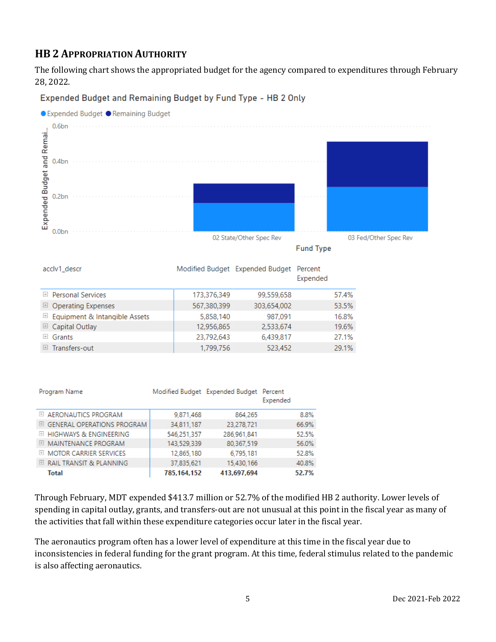# **HB 2 APPROPRIATION AUTHORITY**

The following chart shows the appropriated budget for the agency compared to expenditures through February 28, 2022.

Expended Budget and Remaining Budget by Fund Type - HB 2 Only



**Fund Type** 

| acclv1_descr                         |             | Modified Budget Expended Budget | Percent<br>Expended |       |
|--------------------------------------|-------------|---------------------------------|---------------------|-------|
| $\boxplus$ Personal Services         | 173,376,349 | 99,559,658                      |                     | 57.4% |
| $\boxplus$ Operating Expenses        | 567,380,399 | 303,654,002                     |                     | 53.5% |
| $\Box$ Equipment & Intangible Assets | 5,858,140   | 987.091                         |                     | 16.8% |
| $\boxplus$ Capital Outlay            | 12,956,865  | 2,533,674                       |                     | 19.6% |
| $\boxplus$ Grants                    | 23,792,643  | 6,439,817                       |                     | 27.1% |
| Transfers-out<br>$+$                 | 1.799.756   | 523,452                         |                     | 29.1% |

| Program Name                          |             | Modified Budget Expended Budget Percent | Expended |
|---------------------------------------|-------------|-----------------------------------------|----------|
| E AERONAUTICS PROGRAM                 | 9.871.468   | 864,265                                 | 8.8%     |
| $\boxplus$ GENERAL OPERATIONS PROGRAM | 34,811,187  | 23.278.721                              | 66.9%    |
| E HIGHWAYS & ENGINEERING              | 546.251.357 | 286.961.841                             | 52.5%    |
| E MAINTENANCE PROGRAM                 | 143,529,339 | 80.367,519                              | 56.0%    |
| EL MOTOR CARRIER SERVICES             | 12,865,180  | 6.795.181                               | 52.8%    |
| $\boxplus$ RAIL TRANSIT & PLANNING    | 37.835.621  | 15.430.166                              | 40.8%    |
| Total                                 | 785,164,152 | 413,697,694                             | 52.7%    |

Through February, MDT expended \$413.7 million or 52.7% of the modified HB 2 authority. Lower levels of spending in capital outlay, grants, and transfers-out are not unusual at this point in the fiscal year as many of the activities that fall within these expenditure categories occur later in the fiscal year.

The aeronautics program often has a lower level of expenditure at this time in the fiscal year due to inconsistencies in federal funding for the grant program. At this time, federal stimulus related to the pandemic is also affecting aeronautics.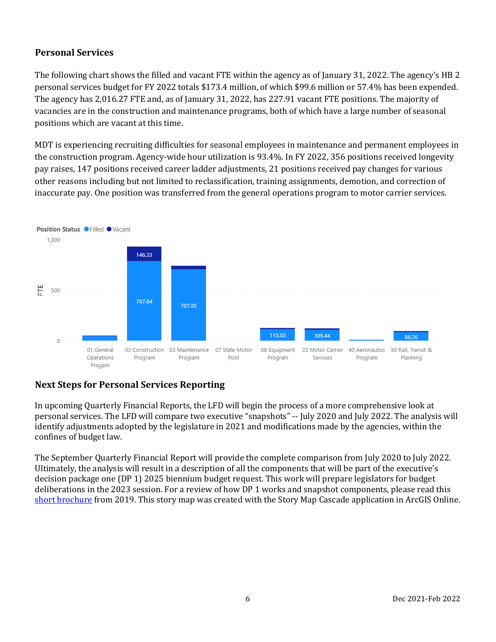## **Personal Services**

The following chart shows the filled and vacant FTE within the agency as of January 31, 2022. The agency's HB 2 personal services budget for FY 2022 totals \$173.4 million, of which \$99.6 million or 57.4% has been expended. The agency has 2,016.27 FTE and, as of January 31, 2022, has 227.91 vacant FTE positions. The majority of vacancies are in the construction and maintenance programs, both of which have a large number of seasonal positions which are vacant at this time.

MDT is experiencing recruiting difficulties for seasonal employees in maintenance and permanent employees in the construction program. Agency-wide hour utilization is 93.4%. In FY 2022, 356 positions received longevity pay raises, 147 positions received career ladder adjustments, 21 positions received pay changes for various other reasons including but not limited to reclassification, training assignments, demotion, and correction of inaccurate pay. One position was transferred from the general operations program to motor carrier services.



## **Next Steps for Personal Services Reporting**

In upcoming Quarterly Financial Reports, the LFD will begin the process of a more comprehensive look at personal services. The LFD will compare two executive "snapshots" -- July 2020 and July 2022. The analysis will identify adjustments adopted by the legislature in 2021 and modifications made by the agencies, within the confines of budget law.

The September Quarterly Financial Report will provide the complete comparison from July 2020 to July 2022. Ultimately, the analysis will result in a description of all the components that will be part of the executive's decision package one (DP 1) 2025 biennium budget request. This work will prepare legislators for budget deliberations in the 2023 session. For a review of how DP 1 works and snapshot components, please read this [short brochure](https://montana.maps.arcgis.com/apps/Cascade/index.html?appid=23095fcf15754f4fb38b63c58a884b97) from 2019. This story map was created with the Story Map Cascade application in ArcGIS Online.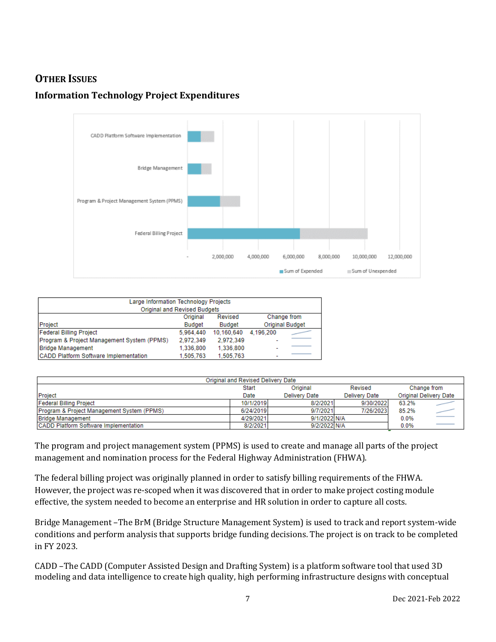# **OTHER ISSUES**

# **Information Technology Project Expenditures**



| Large Information Technology Projects      |               |               |                        |  |  |  |  |
|--------------------------------------------|---------------|---------------|------------------------|--|--|--|--|
| Original and Revised Budgets               |               |               |                        |  |  |  |  |
| Change from<br>Revised<br>Original         |               |               |                        |  |  |  |  |
| Project                                    | <b>Budget</b> | <b>Budget</b> | <b>Original Budget</b> |  |  |  |  |
| <b>Federal Billing Project</b>             | 5.964.440     | 10.160.640    | 4.196.200              |  |  |  |  |
| Program & Project Management System (PPMS) | 2.972.349     | 2.972.349     | -                      |  |  |  |  |
| <b>Bridge Management</b>                   | 1.336.800     | 1.336.800     | -                      |  |  |  |  |
| CADD Platform Software Implementation      | 1.505.763     | 1.505.763     |                        |  |  |  |  |

| Original and Revised Delivery Date           |           |                      |                      |       |                               |  |  |  |
|----------------------------------------------|-----------|----------------------|----------------------|-------|-------------------------------|--|--|--|
|                                              | Start     | Original             | Revised              |       | Change from                   |  |  |  |
| Project                                      | Date      | <b>Delivery Date</b> | <b>Delivery Date</b> |       | <b>Original Delivery Date</b> |  |  |  |
| Federal Billing Project                      | 10/1/2019 | 8/2/2021             | 9/30/2022            | 63.2% |                               |  |  |  |
| Program & Project Management System (PPMS)   | 6/24/2019 | 9/7/2021             | 7/26/2023            | 85.2% |                               |  |  |  |
| <b>Bridge Management</b>                     | 4/29/2021 | 9/1/2022 N/A         |                      | 0.0%  |                               |  |  |  |
| <b>CADD Platform Software Implementation</b> | 8/2/2021  | 9/2/2022 N/A         |                      | 0.0%  |                               |  |  |  |

The program and project management system (PPMS) is used to create and manage all parts of the project management and nomination process for the Federal Highway Administration (FHWA).

The federal billing project was originally planned in order to satisfy billing requirements of the FHWA. However, the project was re-scoped when it was discovered that in order to make project costing module effective, the system needed to become an enterprise and HR solution in order to capture all costs.

Bridge Management –The BrM (Bridge Structure Management System) is used to track and report system-wide conditions and perform analysis that supports bridge funding decisions. The project is on track to be completed in FY 2023.

CADD –The CADD (Computer Assisted Design and Drafting System) is a platform software tool that used 3D modeling and data intelligence to create high quality, high performing infrastructure designs with conceptual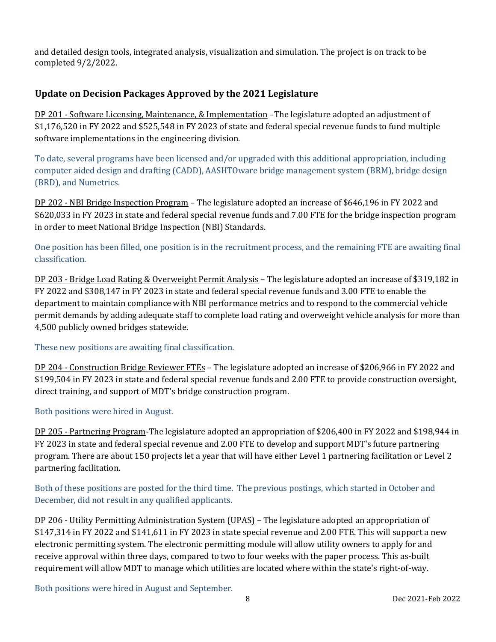and detailed design tools, integrated analysis, visualization and simulation. The project is on track to be completed 9/2/2022.

## **Update on Decision Packages Approved by the 2021 Legislature**

DP 201 - Software Licensing, Maintenance, & Implementation –The legislature adopted an adjustment of \$1,176,520 in FY 2022 and \$525,548 in FY 2023 of state and federal special revenue funds to fund multiple software implementations in the engineering division.

To date, several programs have been licensed and/or upgraded with this additional appropriation, including computer aided design and drafting (CADD), AASHTOware bridge management system (BRM), bridge design (BRD), and Numetrics.

DP 202 - NBI Bridge Inspection Program – The legislature adopted an increase of \$646,196 in FY 2022 and \$620,033 in FY 2023 in state and federal special revenue funds and 7.00 FTE for the bridge inspection program in order to meet National Bridge Inspection (NBI) Standards.

One position has been filled, one position is in the recruitment process, and the remaining FTE are awaiting final classification.

DP 203 - Bridge Load Rating & Overweight Permit Analysis – The legislature adopted an increase of \$319,182 in FY 2022 and \$308,147 in FY 2023 in state and federal special revenue funds and 3.00 FTE to enable the department to maintain compliance with NBI performance metrics and to respond to the commercial vehicle permit demands by adding adequate staff to complete load rating and overweight vehicle analysis for more than 4,500 publicly owned bridges statewide.

These new positions are awaiting final classification.

DP 204 - Construction Bridge Reviewer FTEs – The legislature adopted an increase of \$206,966 in FY 2022 and \$199,504 in FY 2023 in state and federal special revenue funds and 2.00 FTE to provide construction oversight, direct training, and support of MDT's bridge construction program.

Both positions were hired in August.

DP 205 - Partnering Program-The legislature adopted an appropriation of \$206,400 in FY 2022 and \$198,944 in FY 2023 in state and federal special revenue and 2.00 FTE to develop and support MDT's future partnering program. There are about 150 projects let a year that will have either Level 1 partnering facilitation or Level 2 partnering facilitation.

Both of these positions are posted for the third time. The previous postings, which started in October and December, did not result in any qualified applicants.

DP 206 - Utility Permitting Administration System (UPAS) – The legislature adopted an appropriation of \$147,314 in FY 2022 and \$141,611 in FY 2023 in state special revenue and 2.00 FTE. This will support a new electronic permitting system. The electronic permitting module will allow utility owners to apply for and receive approval within three days, compared to two to four weeks with the paper process. This as-built requirement will allow MDT to manage which utilities are located where within the state's right-of-way.

Both positions were hired in August and September.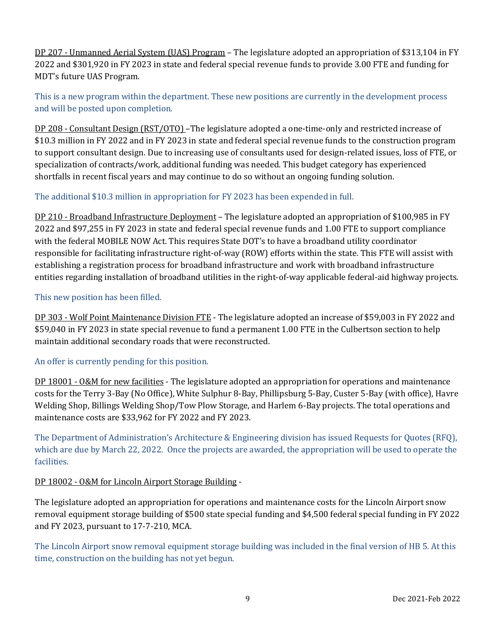DP 207 - Unmanned Aerial System (UAS) Program – The legislature adopted an appropriation of \$313,104 in FY 2022 and \$301,920 in FY 2023 in state and federal special revenue funds to provide 3.00 FTE and funding for MDT's future UAS Program.

This is a new program within the department. These new positions are currently in the development process and will be posted upon completion.

DP 208 - Consultant Design (RST/OTO) –The legislature adopted a one-time-only and restricted increase of \$10.3 million in FY 2022 and in FY 2023 in state and federal special revenue funds to the construction program to support consultant design. Due to increasing use of consultants used for design-related issues, loss of FTE, or specialization of contracts/work, additional funding was needed. This budget category has experienced shortfalls in recent fiscal years and may continue to do so without an ongoing funding solution.

#### The additional \$10.3 million in appropriation for FY 2023 has been expended in full.

DP 210 - Broadband Infrastructure Deployment – The legislature adopted an appropriation of \$100,985 in FY 2022 and \$97,255 in FY 2023 in state and federal special revenue funds and 1.00 FTE to support compliance with the federal MOBILE NOW Act. This requires State DOT's to have a broadband utility coordinator responsible for facilitating infrastructure right-of-way (ROW) efforts within the state. This FTE will assist with establishing a registration process for broadband infrastructure and work with broadband infrastructure entities regarding installation of broadband utilities in the right-of-way applicable federal-aid highway projects.

#### This new position has been filled.

DP 303 - Wolf Point Maintenance Division FTE - The legislature adopted an increase of \$59,003 in FY 2022 and \$59,040 in FY 2023 in state special revenue to fund a permanent 1.00 FTE in the Culbertson section to help maintain additional secondary roads that were reconstructed.

#### An offer is currently pending for this position.

DP 18001 - O&M for new facilities - The legislature adopted an appropriation for operations and maintenance costs for the Terry 3-Bay (No Office), White Sulphur 8-Bay, Phillipsburg 5-Bay, Custer 5-Bay (with office), Havre Welding Shop, Billings Welding Shop/Tow Plow Storage, and Harlem 6-Bay projects. The total operations and maintenance costs are \$33,962 for FY 2022 and FY 2023.

The Department of Administration's Architecture & Engineering division has issued Requests for Quotes (RFQ), which are due by March 22, 2022. Once the projects are awarded, the appropriation will be used to operate the facilities.

#### DP 18002 - O&M for Lincoln Airport Storage Building -

The legislature adopted an appropriation for operations and maintenance costs for the Lincoln Airport snow removal equipment storage building of \$500 state special funding and \$4,500 federal special funding in FY 2022 and FY 2023, pursuant to 17-7-210, MCA.

The Lincoln Airport snow removal equipment storage building was included in the final version of HB 5. At this time, construction on the building has not yet begun.